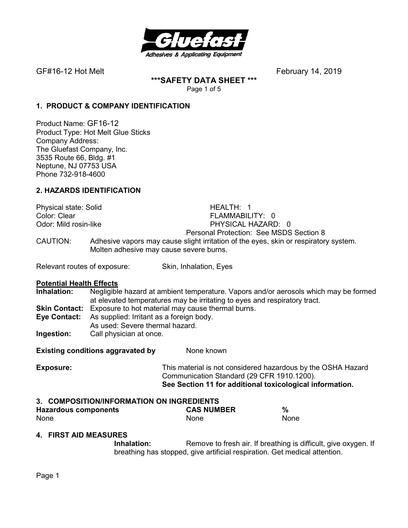

**\*\*\*SAFETY DATA SHEET \*\*\***  Page 1 of 5

## **1. PRODUCT & COMPANY IDENTIFICATION**

Product Name: GF16-12 Product Type: Hot Melt Glue Sticks Company Address: The Gluefast Company, Inc. 3535 Route 66, Bldg. #1 Neptune, NJ 07753 USA Phone 732-918-4600

## **2. HAZARDS IDENTIFICATION**

Physical state: Solid **HEALTH: 1** Color: Clear **FLAMMABILITY: 0**<br>
Odor: Mild rosin-like **FLAMMABILITY: 0** PHYSICAL HAZARD: 0 Personal Protection: See MSDS Section 8 CAUTION: Adhesive vapors may cause slight irritation of the eyes, skin or respiratory system. Molten adhesive may cause severe burns.

Relevant routes of exposure: Skin, Inhalation, Eyes

#### **Potential Health Effects**

**Inhalation:** Negligible hazard at ambient temperature. Vapors and/or aerosols which may be formed at elevated temperatures may be irritating to eyes and respiratory tract. **Skin Contact:** Exposure to hot material may cause thermal burns. **Eye Contact:** As supplied: Irritant as a foreign body.

As used: Severe thermal hazard.

**Ingestion:** Call physician at once.

**Existing conditions aggravated by Solvich Representions Aggravated by Representations Aggregate** 

**Exposure:** This material is not considered hazardous by the OSHA Hazard Communication Standard (29 CFR 1910.1200). **See Section 11 for additional toxicological information.** 

# **3. COMPOSITION/INFORMATION ON INGREDIENTS**

| <b>Hazardous components</b> | <b>CAS NUMBER</b> | %    |
|-----------------------------|-------------------|------|
| None                        | <b>None</b>       | None |

### **4. FIRST AID MEASURES**

**Inhalation:** Remove to fresh air. If breathing is difficult, give oxygen. If breathing has stopped, give artificial respiration. Get medical attention.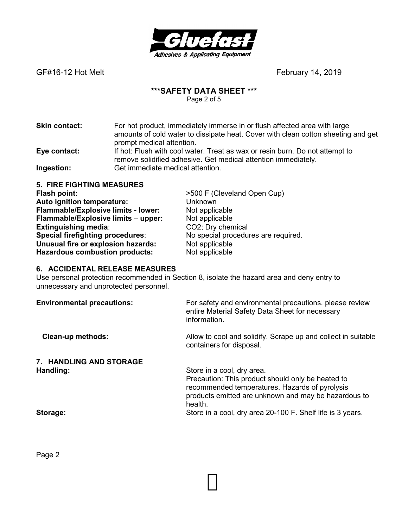

## **\*\*\*SAFETY DATA SHEET \*\*\***

Page 2 of 5

| <b>Skin contact:</b> | For hot product, immediately immerse in or flush affected area with large<br>amounts of cold water to dissipate heat. Cover with clean cotton sheeting and get |
|----------------------|----------------------------------------------------------------------------------------------------------------------------------------------------------------|
|                      | prompt medical attention.                                                                                                                                      |
| Eye contact:         | If hot: Flush with cool water. Treat as wax or resin burn. Do not attempt to                                                                                   |
|                      | remove solidified adhesive. Get medical attention immediately.                                                                                                 |
| Ingestion:           | Get immediate medical attention.                                                                                                                               |

**5. FIRE FIGHTING MEASURES Flash point:**  $>500$  F (Cleveland Open Cup) **Auto ignition temperature:** Unknown **Flammable/Explosive limits - lower:** Not applicable **Flammable/Explosive limits - upper:** Not applicable **Flammable/Explosive limits - upper: Extinguishing media:** CO2; Dry chemical<br> **Special firefighting procedures:** No special procedures **Unusual fire or explosion hazards:** Hazardous combustion products: Not applicable

No special procedures are required.<br>Not applicable

### **6. ACCIDENTAL RELEASE MEASURES**

Use personal protection recommended in Section 8, isolate the hazard area and deny entry to unnecessary and unprotected personnel.

| <b>Environmental precautions:</b> | For safety and environmental precautions, please review<br>entire Material Safety Data Sheet for necessary<br>information.                                                                           |
|-----------------------------------|------------------------------------------------------------------------------------------------------------------------------------------------------------------------------------------------------|
| <b>Clean-up methods:</b>          | Allow to cool and solidify. Scrape up and collect in suitable<br>containers for disposal.                                                                                                            |
| 7. HANDLING AND STORAGE           |                                                                                                                                                                                                      |
| Handling:                         | Store in a cool, dry area.<br>Precaution: This product should only be heated to<br>recommended temperatures. Hazards of pyrolysis<br>products emitted are unknown and may be hazardous to<br>health. |
| Storage:                          | Store in a cool, dry area 20-100 F. Shelf life is 3 years.                                                                                                                                           |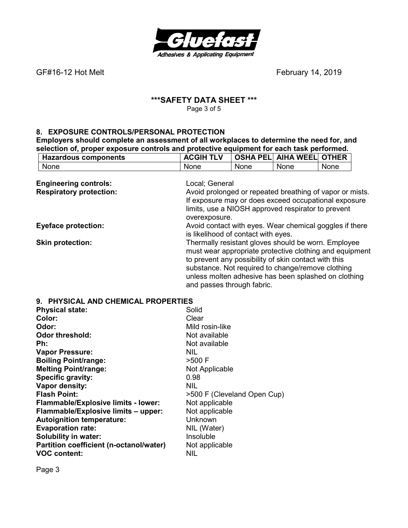

## **\*\*\*SAFETY DATA SHEET \*\*\***  Page 3 of 5

## **8. EXPOSURE CONTROLS/PERSONAL PROTECTION**

**Employers should complete an assessment of all workplaces to determine the need for, and selection of, proper exposure controls and protective equipment for each task performed.** 

|                                | <b>ACGIH TLV</b>                    | <b>OSHA PEL</b> | <b>AIHA WEEL</b>                                     | <b>OTHER</b>                                             |  |
|--------------------------------|-------------------------------------|-----------------|------------------------------------------------------|----------------------------------------------------------|--|
| <b>Hazardous components</b>    |                                     |                 |                                                      |                                                          |  |
| None                           | None                                | None            | None                                                 | None                                                     |  |
| <b>Engineering controls:</b>   | Local; General                      |                 |                                                      |                                                          |  |
| <b>Respiratory protection:</b> |                                     |                 |                                                      | Avoid prolonged or repeated breathing of vapor or mists. |  |
|                                |                                     |                 |                                                      | If exposure may or does exceed occupational exposure     |  |
|                                |                                     |                 | limits, use a NIOSH approved respirator to prevent   |                                                          |  |
|                                | overexposure.                       |                 |                                                      |                                                          |  |
| <b>Eyeface protection:</b>     |                                     |                 |                                                      | Avoid contact with eyes. Wear chemical goggles if there  |  |
|                                | is likelihood of contact with eyes. |                 |                                                      |                                                          |  |
|                                |                                     |                 |                                                      |                                                          |  |
| <b>Skin protection:</b>        |                                     |                 | Thermally resistant gloves should be worn. Employee  |                                                          |  |
|                                |                                     |                 |                                                      | must wear appropriate protective clothing and equipment  |  |
|                                |                                     |                 | to prevent any possibility of skin contact with this |                                                          |  |
|                                |                                     |                 | substance. Not required to change/remove clothing    |                                                          |  |
|                                |                                     |                 |                                                      | unless molten adhesive has been splashed on clothing     |  |
|                                | and passes through fabric.          |                 |                                                      |                                                          |  |
|                                |                                     |                 |                                                      |                                                          |  |

### **9. PHYSICAL AND CHEMICAL PROPERTIES**

| <b>Physical state:</b>                  | Solid                       |
|-----------------------------------------|-----------------------------|
| Color:                                  | Clear                       |
| Odor:                                   | Mild rosin-like             |
| <b>Odor threshold:</b>                  | Not available               |
| Ph:                                     | Not available               |
| <b>Vapor Pressure:</b>                  | NIL.                        |
| <b>Boiling Point/range:</b>             | >500 F                      |
| <b>Melting Point/range:</b>             | Not Applicable              |
| Specific gravity:                       | 0.98                        |
| Vapor density:                          | <b>NIL</b>                  |
| <b>Flash Point:</b>                     | >500 F (Cleveland Open Cup) |
| Flammable/Explosive limits - lower:     | Not applicable              |
| Flammable/Explosive limits - upper:     | Not applicable              |
| <b>Autoignition temperature:</b>        | Unknown                     |
| <b>Evaporation rate:</b>                | NIL (Water)                 |
| <b>Solubility in water:</b>             | Insoluble                   |
| Partition coefficient (n-octanol/water) | Not applicable              |
| <b>VOC content:</b>                     | NIL                         |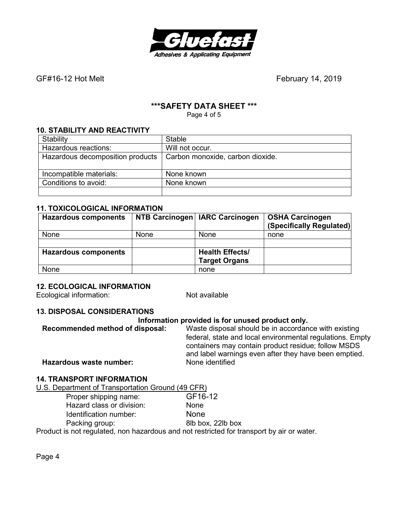

# **\*\*\*SAFETY DATA SHEET \*\*\***

Page 4 of 5

## **10. STABILITY AND REACTIVITY**

| Stability                        | <b>Stable</b>                    |
|----------------------------------|----------------------------------|
| Hazardous reactions:             | Will not occur.                  |
| Hazardous decomposition products | Carbon monoxide, carbon dioxide. |
|                                  |                                  |
| Incompatible materials:          | None known                       |
| Conditions to avoid:             | None known                       |
|                                  |                                  |

## **11. TOXICOLOGICAL INFORMATION**

| <b>Hazardous components</b> |             | NTB Carcinogen   IARC Carcinogen | <b>OSHA Carcinogen</b><br>(Specifically Regulated) |
|-----------------------------|-------------|----------------------------------|----------------------------------------------------|
| None                        | <b>None</b> | None                             | none                                               |
|                             |             |                                  |                                                    |
| <b>Hazardous components</b> |             | <b>Health Effects/</b>           |                                                    |
|                             |             | <b>Target Organs</b>             |                                                    |
| None                        |             | none                             |                                                    |

### **12. ECOLOGICAL INFORMATION**

Ecological information: Not available

### **13. DISPOSAL CONSIDERATIONS**

### **Information provided is for unused product only.**

| Recommended method of disposal: | Waste disposal should be in accordance with existing<br>federal, state and local environmental regulations. Empty |
|---------------------------------|-------------------------------------------------------------------------------------------------------------------|
|                                 | containers may contain product residue; follow MSDS<br>and label warnings even after they have been emptied.      |
| Hazardous waste number:         | None identified                                                                                                   |

### **14. TRANSPORT INFORMATION**

U.S. Department of Transportation Ground (49 CFR)

Proper shipping name: GF16-12 Hazard class or division: None Identification number: None Packing group: 8lb box, 22lb box

Product is not regulated, non hazardous and not restricted for transport by air or water.